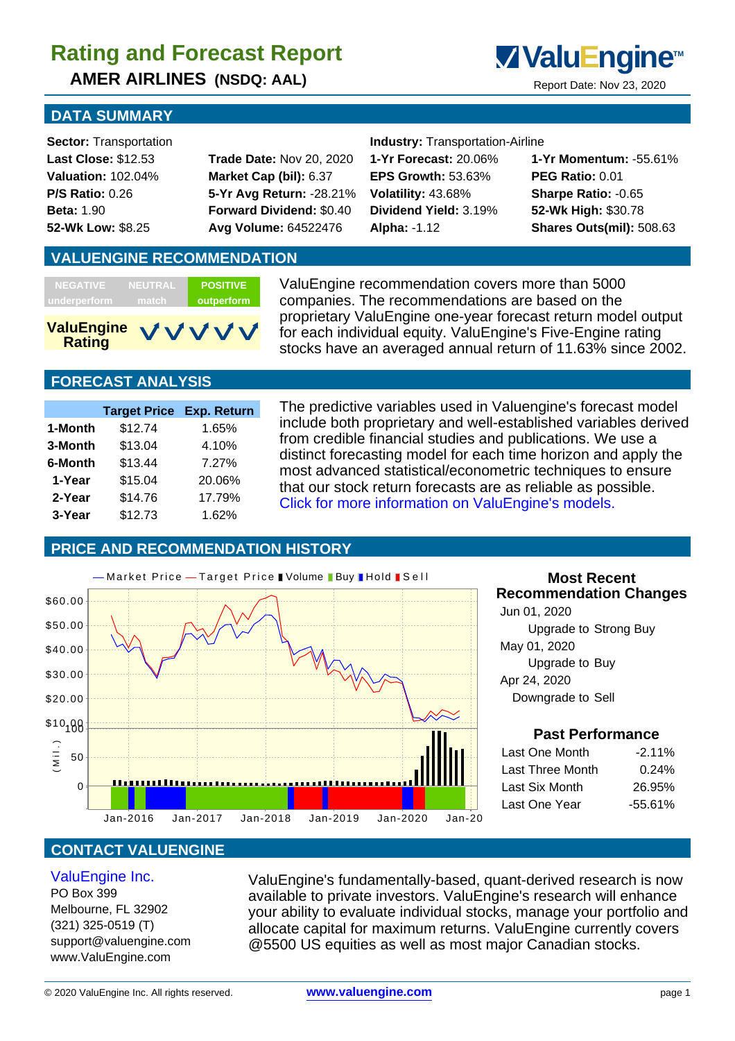**AMER AIRLINES (NSDQ: AAL)** Report Date: Nov 23, 2020



### **DATA SUMMARY**

**Sector:** Transportation **Industry:** Transportation-Airline

**Last Close:** \$12.53 **Trade Date:** Nov 20, 2020 **1-Yr Forecast:** 20.06% **1-Yr Momentum:** -55.61% **Valuation:** 102.04% **Market Cap (bil):** 6.37 **EPS Growth:** 53.63% **PEG Ratio:** 0.01 **P/S Ratio:** 0.26 **5-Yr Avg Return:** -28.21% **Volatility:** 43.68% **Sharpe Ratio:** -0.65 **Beta:** 1.90 **Forward Dividend:** \$0.40 **Dividend Yield:** 3.19% **52-Wk High:** \$30.78 **52-Wk Low:** \$8.25 **Avg Volume:** 64522476 **Alpha:** -1.12 **Shares Outs(mil):** 508.63

### **VALUENGINE RECOMMENDATION**

| <b>NEGATIVE</b>    | <b>NEUTRAL</b> | <b>POSITIVE</b> |
|--------------------|----------------|-----------------|
| underperform       | match.         | outperform      |
| ValuEngine VIVIVIV |                |                 |

ValuEngine recommendation covers more than 5000 companies. The recommendations are based on the proprietary ValuEngine one-year forecast return model output for each individual equity. ValuEngine's Five-Engine rating stocks have an averaged annual return of 11.63% since 2002.

## **FORECAST ANALYSIS**

 **Rating**

|         | <b>Target Price Exp. Return</b> |        |
|---------|---------------------------------|--------|
| 1-Month | \$12.74                         | 1.65%  |
| 3-Month | \$13.04                         | 4.10%  |
| 6-Month | \$13.44                         | 7.27%  |
| 1-Year  | \$15.04                         | 20.06% |
| 2-Year  | \$14.76                         | 17.79% |
| 3-Year  | \$12.73                         | 1.62%  |

The predictive variables used in Valuengine's forecast model include both proprietary and well-established variables derived from credible financial studies and publications. We use a distinct forecasting model for each time horizon and apply the most advanced statistical/econometric techniques to ensure that our stock return forecasts are as reliable as possible. Click for more information on ValuEngine's models.

### **PRICE AND RECOMMENDATION HISTORY**

VVV



### **Most Recent Recommendation Changes**

 Jun 01, 2020 Upgrade to Strong Buy May 01, 2020 Upgrade to Buy Apr 24, 2020 Downgrade to Sell

#### **Past Performance**

| Last One Month   | $-2.11\%$  |
|------------------|------------|
| Last Three Month | 0.24%      |
| Last Six Month   | 26.95%     |
| Last One Year    | $-55.61\%$ |
|                  |            |

## **CONTACT VALUENGINE**

#### ValuEngine Inc.

PO Box 399 Melbourne, FL 32902 (321) 325-0519 (T) support@valuengine.com www.ValuEngine.com

ValuEngine's fundamentally-based, quant-derived research is now available to private investors. ValuEngine's research will enhance your ability to evaluate individual stocks, manage your portfolio and allocate capital for maximum returns. ValuEngine currently covers @5500 US equities as well as most major Canadian stocks.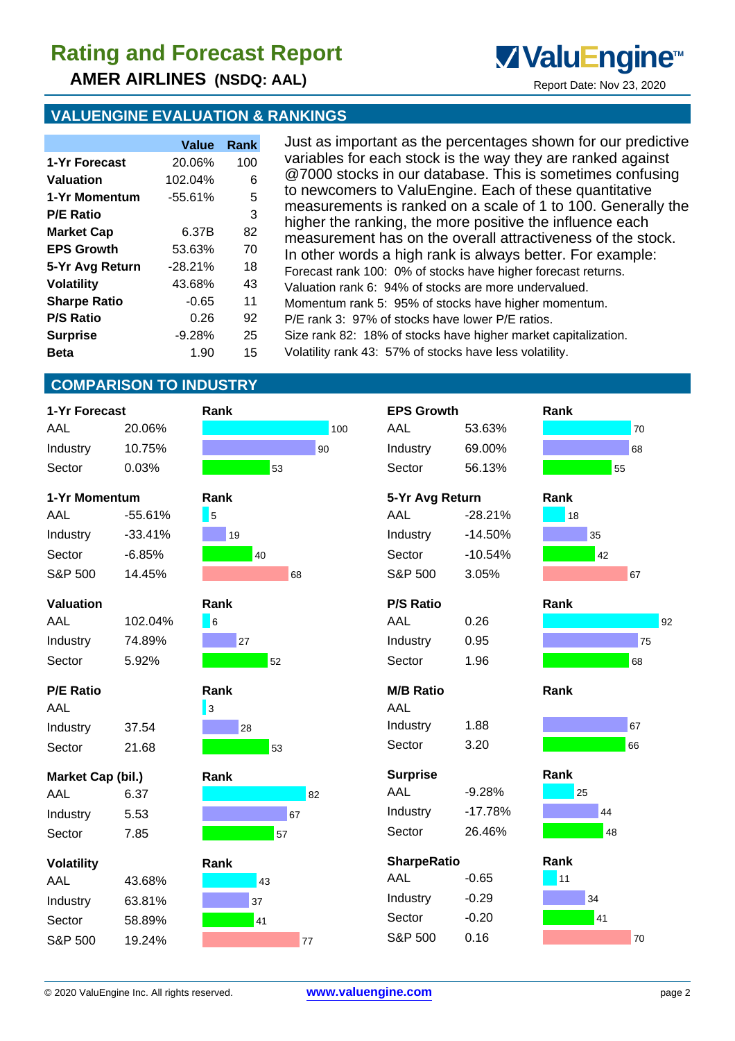**AMER AIRLINES (NSDQ: AAL)** Report Date: Nov 23, 2020

## **VALUENGINE EVALUATION & RANKINGS**

|                     | Value     | Rank |
|---------------------|-----------|------|
| 1-Yr Forecast       | 20.06%    | 100  |
| Valuation           | 102.04%   | 6    |
| 1-Yr Momentum       | -55.61%   | 5    |
| <b>P/E Ratio</b>    |           | 3    |
| <b>Market Cap</b>   | 6.37B     | 82   |
| <b>EPS Growth</b>   | 53.63%    | 70   |
| 5-Yr Avg Return     | $-28.21%$ | 18   |
| <b>Volatility</b>   | 43.68%    | 43   |
| <b>Sharpe Ratio</b> | $-0.65$   | 11   |
| <b>P/S Ratio</b>    | በ 26      | 92   |
| <b>Surprise</b>     | $-9.28%$  | 25   |
| Beta                | 1.90      | 15   |

Just as important as the percentages shown for our predictive variables for each stock is the way they are ranked against @7000 stocks in our database. This is sometimes confusing to newcomers to ValuEngine. Each of these quantitative measurements is ranked on a scale of 1 to 100. Generally the higher the ranking, the more positive the influence each measurement has on the overall attractiveness of the stock. In other words a high rank is always better. For example: Forecast rank 100: 0% of stocks have higher forecast returns. Valuation rank 6: 94% of stocks are more undervalued. Momentum rank 5: 95% of stocks have higher momentum. P/E rank 3: 97% of stocks have lower P/E ratios. Size rank 82: 18% of stocks have higher market capitalization. Volatility rank 43: 57% of stocks have less volatility.

**ValuEngine**<sup>™</sup>

## **COMPARISON TO INDUSTRY**

| 1-Yr Forecast     |           | Rank                       |     | <b>EPS Growth</b>  |           | Rank |    |
|-------------------|-----------|----------------------------|-----|--------------------|-----------|------|----|
| AAL               | 20.06%    |                            | 100 | <b>AAL</b>         | 53.63%    |      | 70 |
| Industry          | 10.75%    |                            | 90  | Industry           | 69.00%    |      | 68 |
| Sector            | 0.03%     | 53                         |     | Sector             | 56.13%    | 55   |    |
| 1-Yr Momentum     |           | Rank                       |     | 5-Yr Avg Return    |           | Rank |    |
| AAL               | $-55.61%$ | 5                          |     | AAL                | $-28.21%$ | 18   |    |
| Industry          | $-33.41%$ | 19                         |     | Industry           | $-14.50%$ | 35   |    |
| Sector            | $-6.85%$  | 40                         |     | Sector             | $-10.54%$ | 42   |    |
| S&P 500           | 14.45%    |                            | 68  | S&P 500            | 3.05%     |      | 67 |
| <b>Valuation</b>  |           | Rank                       |     | <b>P/S Ratio</b>   |           | Rank |    |
| AAL               | 102.04%   | $\overline{\phantom{a}}$ 6 |     | AAL                | 0.26      |      | 92 |
| Industry          | 74.89%    | 27                         |     | Industry           | 0.95      |      | 75 |
| Sector            | 5.92%     | 52                         |     | Sector             | 1.96      |      | 68 |
| <b>P/E Ratio</b>  |           | Rank                       |     | <b>M/B Ratio</b>   |           | Rank |    |
| AAL               |           | $\vert$ 3                  |     | AAL                |           |      |    |
| Industry          | 37.54     | 28                         |     | Industry           | 1.88      |      | 67 |
| Sector            | 21.68     | 53                         |     | Sector             | 3.20      |      | 66 |
| Market Cap (bil.) |           | Rank                       |     | <b>Surprise</b>    |           | Rank |    |
| AAL               | 6.37      |                            | 82  | AAL                | $-9.28%$  | 25   |    |
| Industry          | 5.53      |                            | 67  | Industry           | $-17.78%$ | 44   |    |
| Sector            | 7.85      | 57                         |     | Sector             | 26.46%    | 48   |    |
| <b>Volatility</b> |           | Rank                       |     | <b>SharpeRatio</b> |           | Rank |    |
| AAL               | 43.68%    | 43                         |     | AAL                | $-0.65$   | 11   |    |
| Industry          | 63.81%    | 37                         |     | Industry           | $-0.29$   | 34   |    |
| Sector            | 58.89%    | 41                         |     | Sector             | $-0.20$   | 41   |    |
| S&P 500           | 19.24%    |                            | 77  | S&P 500            | 0.16      |      | 70 |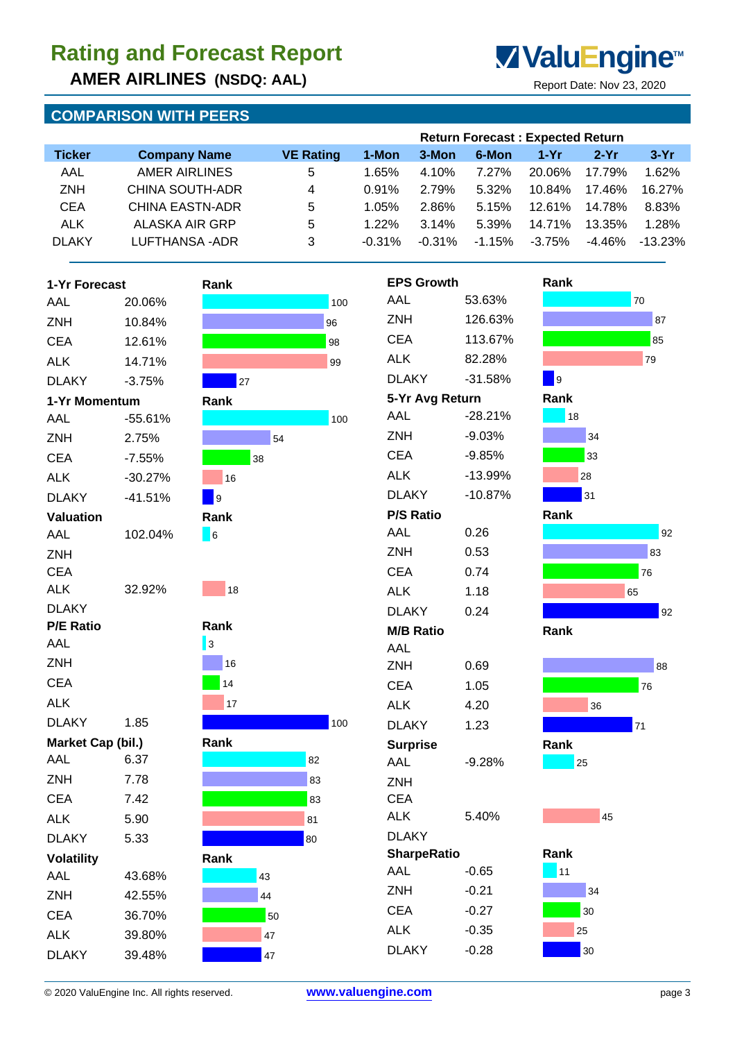**AMER AIRLINES (NSDQ: AAL)** Report Date: Nov 23, 2020

## **COMPARISON WITH PEERS**



|               |                     |                  |           |          |          | <b>Return Forecast: Expected Return</b> |        |            |
|---------------|---------------------|------------------|-----------|----------|----------|-----------------------------------------|--------|------------|
| <b>Ticker</b> | <b>Company Name</b> | <b>VE Rating</b> | 1-Mon     | 3-Mon    | 6-Mon    | $1-Yr$                                  | $2-Yr$ | $3-Yr$     |
| AAL           | AMER AIRLINES       | 5                | 1.65%     | 4.10%    | 7.27%    | 20.06%                                  | 17.79% | 1.62%      |
| <b>ZNH</b>    | CHINA SOUTH-ADR     | 4                | $0.91\%$  | 2.79%    | 5.32%    | 10.84%                                  | 17.46% | 16.27%     |
| <b>CEA</b>    | CHINA EASTN-ADR     | 5                | 1.05%     | 2.86%    | 5.15%    | $12.61\%$                               | 14.78% | 8.83%      |
| <b>ALK</b>    | ALASKA AIR GRP      | 5                | $1.22\%$  | 3.14%    | 5.39%    | 14.71%                                  | 13.35% | 1.28%      |
| <b>DLAKY</b>  | LUFTHANSA-ADR       | 3                | $-0.31\%$ | $-0.31%$ | $-1.15%$ | $-3.75%$                                | -4.46% | $-13.23\%$ |

| 1-Yr Forecast     |           | Rank |                |
|-------------------|-----------|------|----------------|
| AAL               | 20.06%    |      | 1(             |
| ZNH               | 10.84%    |      | 96             |
| <b>CEA</b>        | 12.61%    |      | 98             |
| <b>ALK</b>        | 14.71%    |      | 99             |
| <b>DLAKY</b>      | $-3.75%$  | 27   |                |
| 1-Yr Momentum     |           | Rank |                |
| AAL               | $-55.61%$ |      | 1(             |
| <b>ZNH</b>        | 2.75%     | 54   |                |
| <b>CEA</b>        | $-7.55%$  | 38   |                |
| <b>ALK</b>        | $-30.27%$ | 16   |                |
| <b>DLAKY</b>      | $-41.51%$ | 9    |                |
| <b>Valuation</b>  |           | Rank |                |
| AAL               | 102.04%   | 6    |                |
| <b>ZNH</b>        |           |      |                |
| <b>CEA</b>        |           |      |                |
| ALK               | 32.92%    | 18   |                |
| <b>DLAKY</b>      |           |      |                |
| <b>P/E Ratio</b>  |           | Rank |                |
| AAL               |           | 3    |                |
| ZNH               |           | 16   |                |
| <b>CEA</b>        |           | 14   |                |
| ALK               |           | 17   |                |
| <b>DLAKY</b>      | 1.85      |      | 1 <sub>0</sub> |
| Market Cap (bil.) |           | Rank |                |
| AAL               | 6.37      | 82   |                |
| ZNH               | 7.78      | 83   |                |
| <b>CEA</b>        | 7.42      | 83   |                |
| ALK               | 5.90      | 81   |                |
| <b>DLAKY</b>      | 5.33      | 80   |                |
| <b>Volatility</b> |           | Rank |                |
| AAL               | 43.68%    | 43   |                |
| ZNH               | 42.55%    | 44   |                |
| <b>CEA</b>        | 36.70%    | 50   |                |
| <b>ALK</b>        | 39.80%    | 47   |                |
| <b>DLAKY</b>      | 39.48%    | 47   |                |









| Rank<br>11 |    |    |
|------------|----|----|
|            |    | 34 |
|            |    | 30 |
|            | 25 |    |
|            |    | 30 |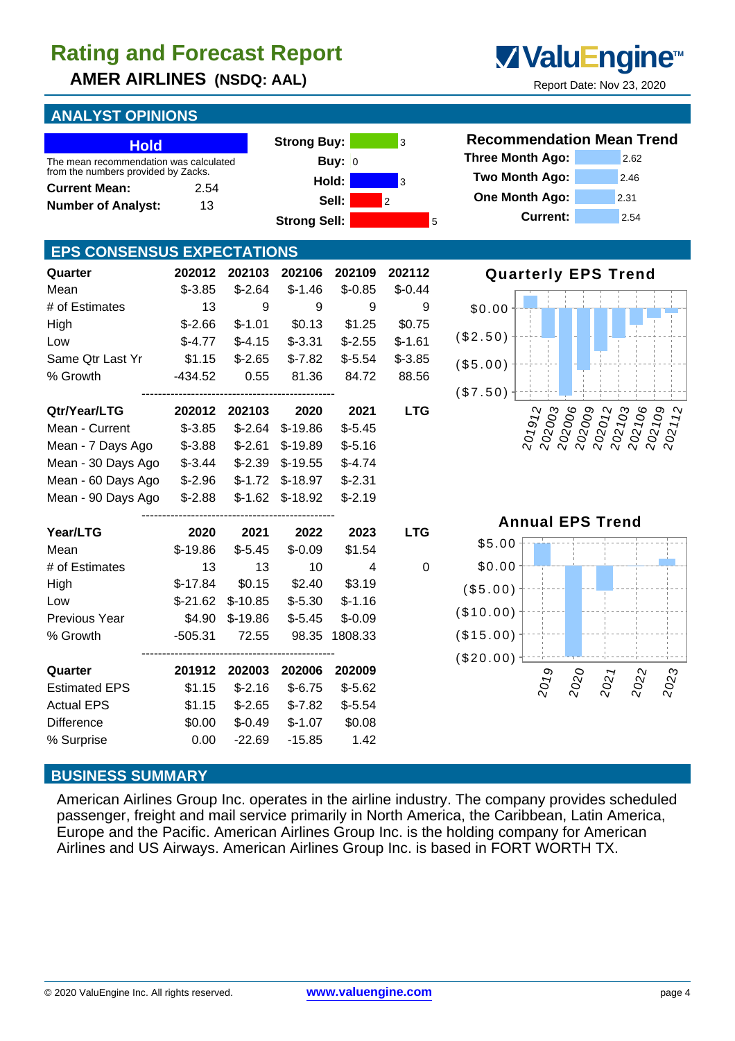**AMER AIRLINES (NSDQ: AAL)** Report Date: Nov 23, 2020

## **ANALYST OPINIONS**

| <b>Hold</b><br>The mean recommendation was calculated<br>from the numbers provided by Zacks.<br><b>Current Mean:</b><br><b>Number of Analyst:</b> | 2.54<br>13 |           | <b>Strong Buy:</b>  | Buy: $ 0 $<br>Hold:<br>Sell: | 3<br>3<br>$\overline{2}$ | <b>Recommendation Mean Trend</b><br><b>Three Month Ago:</b><br>Two Month Ago:<br>2.46<br>One Month Ago:<br>2.31 | 2.62                            |
|---------------------------------------------------------------------------------------------------------------------------------------------------|------------|-----------|---------------------|------------------------------|--------------------------|-----------------------------------------------------------------------------------------------------------------|---------------------------------|
|                                                                                                                                                   |            |           | <b>Strong Sell:</b> |                              | 5                        | <b>Current:</b><br>2.54                                                                                         |                                 |
| <b>EPS CONSENSUS EXPECTATIONS</b>                                                                                                                 |            |           |                     |                              |                          |                                                                                                                 |                                 |
| Quarter                                                                                                                                           | 202012     | 202103    | 202106              | 202109                       | 202112                   | <b>Quarterly EPS Trend</b>                                                                                      |                                 |
| Mean                                                                                                                                              | $$ -3.85$  | $$-2.64$  | $$-1.46$            | $$-0.85$                     | $$-0.44$                 |                                                                                                                 |                                 |
| # of Estimates                                                                                                                                    | 13         | 9         | 9                   | $\boldsymbol{9}$             | 9                        | \$0.00                                                                                                          |                                 |
| High                                                                                                                                              | $$-2.66$   | $$-1.01$  | \$0.13              | \$1.25                       | \$0.75                   |                                                                                                                 |                                 |
| Low                                                                                                                                               | $$-4.77$   | $$-4.15$  | $$ -3.31$           | $$-2.55$                     | $$-1.61$                 | (\$2.50)                                                                                                        |                                 |
| Same Qtr Last Yr                                                                                                                                  | \$1.15     | $$-2.65$  | $$-7.82$            | $$-5.54$                     | $$-3.85$                 | (\$5.00)                                                                                                        |                                 |
| % Growth                                                                                                                                          | $-434.52$  | 0.55      | 81.36               | 84.72                        | 88.56                    |                                                                                                                 |                                 |
|                                                                                                                                                   |            |           |                     |                              |                          | (\$7.50)                                                                                                        |                                 |
| Qtr/Year/LTG                                                                                                                                      | 202012     | 202103    | 2020                | 2021                         | <b>LTG</b>               | 202003<br>202006<br>202103<br>202009<br>202012<br>201912                                                        | 202106<br>$rac{202109}{202112}$ |
| Mean - Current                                                                                                                                    | $$-3.85$   | $$-2.64$  | $$-19.86$           | $$-5.45$                     |                          |                                                                                                                 |                                 |
| Mean - 7 Days Ago                                                                                                                                 | $$ -3.88$  | $$-2.61$  | $$-19.89$           | $$-5.16$                     |                          |                                                                                                                 |                                 |
| Mean - 30 Days Ago                                                                                                                                | $$ -3.44$  | $$-2.39$  | $$-19.55$           | $$-4.74$                     |                          |                                                                                                                 |                                 |
| Mean - 60 Days Ago                                                                                                                                | $$-2.96$   | $$-1.72$  | $$-18.97$           | $$-2.31$                     |                          |                                                                                                                 |                                 |
| Mean - 90 Days Ago                                                                                                                                | $$-2.88$   | $$-1.62$  | $$-18.92$           | $$-2.19$                     |                          |                                                                                                                 |                                 |
|                                                                                                                                                   |            |           |                     |                              |                          | <b>Annual EPS Trend</b>                                                                                         |                                 |
| Year/LTG                                                                                                                                          | 2020       | 2021      | 2022                | 2023                         | <b>LTG</b>               |                                                                                                                 |                                 |
| Mean                                                                                                                                              | $$-19.86$  | $$-5.45$  | $$-0.09$            | \$1.54                       |                          | \$5.00                                                                                                          |                                 |
| # of Estimates                                                                                                                                    | 13         | 13        | 10                  | 4                            | $\mathbf 0$              | \$0.00                                                                                                          |                                 |
| High                                                                                                                                              | $$-17.84$  | \$0.15    | \$2.40              | \$3.19                       |                          | (\$5.00)                                                                                                        |                                 |
| Low                                                                                                                                               | $$-21.62$  | $$-10.85$ | $$-5.30$            | $$-1.16$                     |                          |                                                                                                                 |                                 |
| Previous Year                                                                                                                                     | \$4.90     | $$-19.86$ | $$-5.45$            | $$-0.09$                     |                          | (\$10.00)                                                                                                       |                                 |
| % Growth                                                                                                                                          | $-505.31$  | 72.55     |                     | 98.35 1808.33                |                          | (\$15.00)                                                                                                       |                                 |
|                                                                                                                                                   |            |           |                     |                              |                          | $(\$20.00)$                                                                                                     |                                 |
| Quarter                                                                                                                                           | 201912     | 202003    | 202006              | 202009                       |                          |                                                                                                                 |                                 |
| <b>Estimated EPS</b>                                                                                                                              | \$1.15     | $$-2.16$  | $$-6.75$            | $$-5.62$                     |                          | 2019<br>2020<br>2021                                                                                            | 2023<br>2022                    |
| <b>Actual EPS</b>                                                                                                                                 | \$1.15     | $$-2.65$  | $$-7.82$            | $$-5.54$                     |                          |                                                                                                                 |                                 |
| Difference                                                                                                                                        | \$0.00     | $$-0.49$  | $$-1.07$            | \$0.08                       |                          |                                                                                                                 |                                 |
| % Surprise                                                                                                                                        | 0.00       | $-22.69$  | $-15.85$            | 1.42                         |                          |                                                                                                                 |                                 |

### **BUSINESS SUMMARY**

American Airlines Group Inc. operates in the airline industry. The company provides scheduled passenger, freight and mail service primarily in North America, the Caribbean, Latin America, Europe and the Pacific. American Airlines Group Inc. is the holding company for American Airlines and US Airways. American Airlines Group Inc. is based in FORT WORTH TX.



> $202109$  $202112$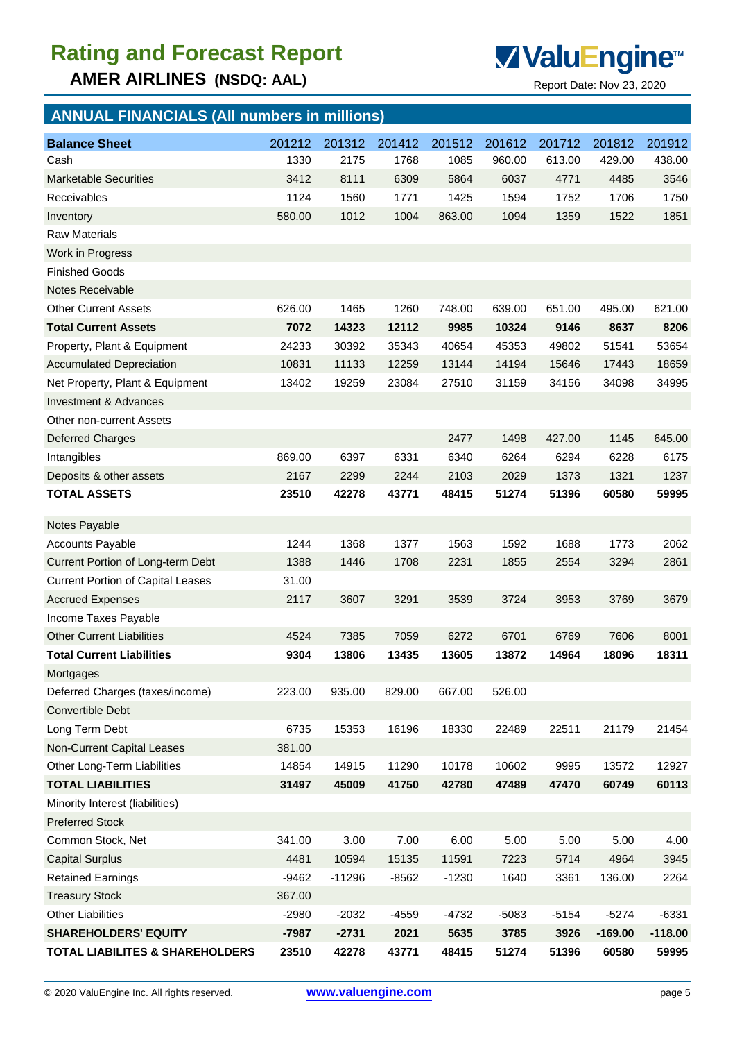**AMER AIRLINES (NSDQ: AAL)** Report Date: Nov 23, 2020



| <b>ANNUAL FINANCIALS (All numbers in millions)</b> |         |          |         |         |         |         |           |           |
|----------------------------------------------------|---------|----------|---------|---------|---------|---------|-----------|-----------|
| <b>Balance Sheet</b>                               | 201212  | 201312   | 201412  | 201512  | 201612  | 201712  | 201812    | 201912    |
| Cash                                               | 1330    | 2175     | 1768    | 1085    | 960.00  | 613.00  | 429.00    | 438.00    |
| <b>Marketable Securities</b>                       | 3412    | 8111     | 6309    | 5864    | 6037    | 4771    | 4485      | 3546      |
| Receivables                                        | 1124    | 1560     | 1771    | 1425    | 1594    | 1752    | 1706      | 1750      |
| Inventory                                          | 580.00  | 1012     | 1004    | 863.00  | 1094    | 1359    | 1522      | 1851      |
| <b>Raw Materials</b>                               |         |          |         |         |         |         |           |           |
| Work in Progress                                   |         |          |         |         |         |         |           |           |
| <b>Finished Goods</b>                              |         |          |         |         |         |         |           |           |
| <b>Notes Receivable</b>                            |         |          |         |         |         |         |           |           |
| <b>Other Current Assets</b>                        | 626.00  | 1465     | 1260    | 748.00  | 639.00  | 651.00  | 495.00    | 621.00    |
| <b>Total Current Assets</b>                        | 7072    | 14323    | 12112   | 9985    | 10324   | 9146    | 8637      | 8206      |
| Property, Plant & Equipment                        | 24233   | 30392    | 35343   | 40654   | 45353   | 49802   | 51541     | 53654     |
| <b>Accumulated Depreciation</b>                    | 10831   | 11133    | 12259   | 13144   | 14194   | 15646   | 17443     | 18659     |
| Net Property, Plant & Equipment                    | 13402   | 19259    | 23084   | 27510   | 31159   | 34156   | 34098     | 34995     |
| <b>Investment &amp; Advances</b>                   |         |          |         |         |         |         |           |           |
| Other non-current Assets                           |         |          |         |         |         |         |           |           |
| <b>Deferred Charges</b>                            |         |          |         | 2477    | 1498    | 427.00  | 1145      | 645.00    |
| Intangibles                                        | 869.00  | 6397     | 6331    | 6340    | 6264    | 6294    | 6228      | 6175      |
| Deposits & other assets                            | 2167    | 2299     | 2244    | 2103    | 2029    | 1373    | 1321      | 1237      |
| <b>TOTAL ASSETS</b>                                | 23510   | 42278    | 43771   | 48415   | 51274   | 51396   | 60580     | 59995     |
| Notes Payable                                      |         |          |         |         |         |         |           |           |
| <b>Accounts Payable</b>                            | 1244    | 1368     | 1377    | 1563    | 1592    | 1688    | 1773      | 2062      |
| Current Portion of Long-term Debt                  | 1388    | 1446     | 1708    | 2231    | 1855    | 2554    | 3294      | 2861      |
| <b>Current Portion of Capital Leases</b>           | 31.00   |          |         |         |         |         |           |           |
| <b>Accrued Expenses</b>                            | 2117    | 3607     | 3291    | 3539    | 3724    | 3953    | 3769      | 3679      |
| Income Taxes Payable                               |         |          |         |         |         |         |           |           |
| <b>Other Current Liabilities</b>                   | 4524    | 7385     | 7059    | 6272    | 6701    | 6769    | 7606      | 8001      |
| <b>Total Current Liabilities</b>                   | 9304    | 13806    | 13435   | 13605   | 13872   | 14964   | 18096     | 18311     |
| Mortgages                                          |         |          |         |         |         |         |           |           |
| Deferred Charges (taxes/income)                    | 223.00  | 935.00   | 829.00  | 667.00  | 526.00  |         |           |           |
| Convertible Debt                                   |         |          |         |         |         |         |           |           |
| Long Term Debt                                     | 6735    | 15353    | 16196   | 18330   | 22489   | 22511   | 21179     | 21454     |
| Non-Current Capital Leases                         | 381.00  |          |         |         |         |         |           |           |
| Other Long-Term Liabilities                        | 14854   | 14915    | 11290   | 10178   | 10602   | 9995    | 13572     | 12927     |
| <b>TOTAL LIABILITIES</b>                           | 31497   | 45009    | 41750   | 42780   | 47489   | 47470   | 60749     | 60113     |
| Minority Interest (liabilities)                    |         |          |         |         |         |         |           |           |
| <b>Preferred Stock</b>                             |         |          |         |         |         |         |           |           |
| Common Stock, Net                                  | 341.00  | 3.00     | 7.00    | 6.00    | 5.00    | 5.00    | 5.00      | 4.00      |
| <b>Capital Surplus</b>                             | 4481    | 10594    | 15135   | 11591   | 7223    | 5714    | 4964      | 3945      |
| <b>Retained Earnings</b>                           | $-9462$ | $-11296$ | $-8562$ | $-1230$ | 1640    | 3361    | 136.00    | 2264      |
| <b>Treasury Stock</b>                              | 367.00  |          |         |         |         |         |           |           |
| <b>Other Liabilities</b>                           | $-2980$ | $-2032$  | $-4559$ | $-4732$ | $-5083$ | $-5154$ | $-5274$   | $-6331$   |
| <b>SHAREHOLDERS' EQUITY</b>                        | $-7987$ | $-2731$  | 2021    | 5635    | 3785    | 3926    | $-169.00$ | $-118.00$ |
| <b>TOTAL LIABILITES &amp; SHAREHOLDERS</b>         | 23510   | 42278    | 43771   | 48415   | 51274   | 51396   | 60580     | 59995     |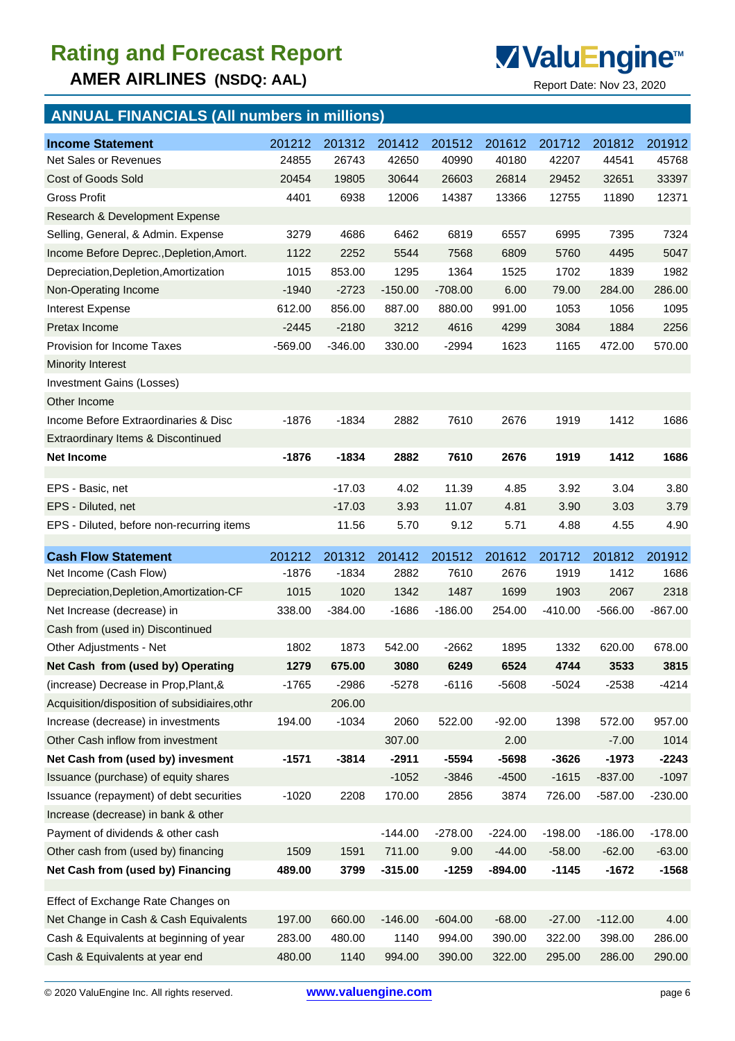**AMER AIRLINES (NSDQ: AAL)** Report Date: Nov 23, 2020



## **ANNUAL FINANCIALS (All numbers in millions)**

| <b>Income Statement</b>                                                   | 201212           | 201312         | 201412         | 201512           | 201612           | 201712           | 201812           | 201912           |
|---------------------------------------------------------------------------|------------------|----------------|----------------|------------------|------------------|------------------|------------------|------------------|
| Net Sales or Revenues                                                     | 24855            | 26743          | 42650          | 40990            | 40180            | 42207            | 44541            | 45768            |
| Cost of Goods Sold                                                        | 20454            | 19805          | 30644          | 26603            | 26814            | 29452            | 32651            | 33397            |
| Gross Profit                                                              | 4401             | 6938           | 12006          | 14387            | 13366            | 12755            | 11890            | 12371            |
| Research & Development Expense                                            |                  |                |                |                  |                  |                  |                  |                  |
| Selling, General, & Admin. Expense                                        | 3279             | 4686           | 6462           | 6819             | 6557             | 6995             | 7395             | 7324             |
| Income Before Deprec., Depletion, Amort.                                  | 1122             | 2252           | 5544           | 7568             | 6809             | 5760             | 4495             | 5047             |
| Depreciation, Depletion, Amortization                                     | 1015             | 853.00         | 1295           | 1364             | 1525             | 1702             | 1839             | 1982             |
| Non-Operating Income                                                      | $-1940$          | $-2723$        | $-150.00$      | $-708.00$        | 6.00             | 79.00            | 284.00           | 286.00           |
| <b>Interest Expense</b>                                                   | 612.00           | 856.00         | 887.00         | 880.00           | 991.00           | 1053             | 1056             | 1095             |
| Pretax Income                                                             | $-2445$          | $-2180$        | 3212           | 4616             | 4299             | 3084             | 1884             | 2256             |
| <b>Provision for Income Taxes</b>                                         | $-569.00$        | $-346.00$      | 330.00         | $-2994$          | 1623             | 1165             | 472.00           | 570.00           |
| <b>Minority Interest</b>                                                  |                  |                |                |                  |                  |                  |                  |                  |
| <b>Investment Gains (Losses)</b>                                          |                  |                |                |                  |                  |                  |                  |                  |
| Other Income                                                              |                  |                |                |                  |                  |                  |                  |                  |
| Income Before Extraordinaries & Disc                                      | $-1876$          | $-1834$        | 2882           | 7610             | 2676             | 1919             | 1412             | 1686             |
| Extraordinary Items & Discontinued                                        |                  |                |                |                  |                  |                  |                  |                  |
| <b>Net Income</b>                                                         | $-1876$          | $-1834$        | 2882           | 7610             | 2676             | 1919             | 1412             | 1686             |
| EPS - Basic, net                                                          |                  | $-17.03$       | 4.02           | 11.39            | 4.85             | 3.92             | 3.04             | 3.80             |
| EPS - Diluted, net                                                        |                  | $-17.03$       | 3.93           | 11.07            | 4.81             | 3.90             | 3.03             | 3.79             |
| EPS - Diluted, before non-recurring items                                 |                  | 11.56          | 5.70           | 9.12             | 5.71             | 4.88             | 4.55             | 4.90             |
|                                                                           |                  |                |                |                  |                  |                  |                  |                  |
|                                                                           |                  |                |                |                  |                  |                  |                  |                  |
| <b>Cash Flow Statement</b>                                                | 201212           | 201312         | 201412         | 201512           | 201612           | 201712           | 201812           | 201912           |
| Net Income (Cash Flow)                                                    | $-1876$          | $-1834$        | 2882           | 7610             | 2676             | 1919             | 1412             | 1686             |
| Depreciation, Depletion, Amortization-CF                                  | 1015             | 1020           | 1342           | 1487             | 1699             | 1903             | 2067             | 2318             |
| Net Increase (decrease) in                                                | 338.00           | $-384.00$      | $-1686$        | $-186.00$        | 254.00           | $-410.00$        | $-566.00$        | $-867.00$        |
| Cash from (used in) Discontinued                                          |                  |                |                |                  |                  |                  |                  |                  |
| Other Adjustments - Net                                                   | 1802             | 1873           | 542.00         | $-2662$          | 1895             | 1332             | 620.00           | 678.00           |
| Net Cash from (used by) Operating                                         | 1279             | 675.00         | 3080           | 6249             | 6524             | 4744             | 3533             | 3815             |
| (increase) Decrease in Prop, Plant, &                                     | $-1765$          | $-2986$        | $-5278$        | $-6116$          | $-5608$          | $-5024$          | $-2538$          | $-4214$          |
| Acquisition/disposition of subsidiaires, othr                             |                  | 206.00         |                |                  |                  |                  |                  |                  |
| Increase (decrease) in investments                                        | 194.00           | $-1034$        | 2060           | 522.00           | $-92.00$         | 1398             | 572.00           | 957.00           |
| Other Cash inflow from investment                                         |                  |                | 307.00         |                  | 2.00             |                  | $-7.00$          | 1014             |
| Net Cash from (used by) invesment                                         | $-1571$          | $-3814$        | $-2911$        | $-5594$          | $-5698$          | $-3626$          | $-1973$          | $-2243$          |
| Issuance (purchase) of equity shares                                      |                  |                | $-1052$        | $-3846$          | $-4500$          | $-1615$          | $-837.00$        | $-1097$          |
| Issuance (repayment) of debt securities                                   | $-1020$          | 2208           | 170.00         | 2856             | 3874             | 726.00           | $-587.00$        | $-230.00$        |
| Increase (decrease) in bank & other                                       |                  |                |                |                  |                  |                  |                  |                  |
| Payment of dividends & other cash                                         |                  |                | $-144.00$      | $-278.00$        | $-224.00$        | $-198.00$        | $-186.00$        | $-178.00$        |
| Other cash from (used by) financing                                       | 1509             | 1591           | 711.00         | 9.00             | $-44.00$         | $-58.00$         | $-62.00$         | $-63.00$         |
| Net Cash from (used by) Financing                                         | 489.00           | 3799           | $-315.00$      | $-1259$          | $-894.00$        | $-1145$          | $-1672$          | $-1568$          |
|                                                                           |                  |                |                |                  |                  |                  |                  |                  |
| Effect of Exchange Rate Changes on                                        |                  |                |                |                  |                  |                  |                  |                  |
| Net Change in Cash & Cash Equivalents                                     | 197.00           | 660.00         | $-146.00$      | $-604.00$        | $-68.00$         | $-27.00$         | $-112.00$        | 4.00             |
| Cash & Equivalents at beginning of year<br>Cash & Equivalents at year end | 283.00<br>480.00 | 480.00<br>1140 | 1140<br>994.00 | 994.00<br>390.00 | 390.00<br>322.00 | 322.00<br>295.00 | 398.00<br>286.00 | 286.00<br>290.00 |

© 2020 ValuEngine Inc. All rights reserved. **www.valuengine.com** page 6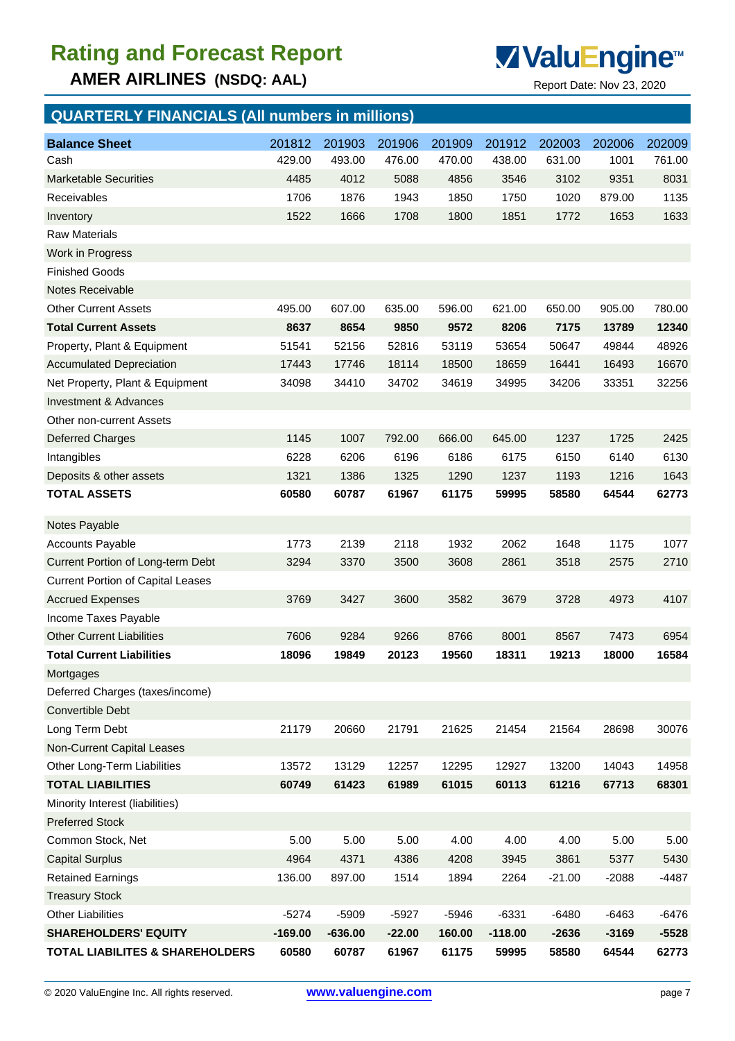**AMER AIRLINES (NSDQ: AAL)** Report Date: Nov 23, 2020



## **QUARTERLY FINANCIALS (All numbers in millions) Balance Sheet** 201812 201903 201906 201909 201912 202003 202006 202009 Cash 429.00 493.00 476.00 470.00 438.00 631.00 1001 761.00 Marketable Securities 4485 4012 5088 4856 3546 3102 9351 8031 Receivables 1706 1876 1943 1850 1750 1020 879.00 1135 Inventory 1522 1666 1708 1800 1851 1772 1653 1633 Raw Materials Work in Progress Finished Goods Notes Receivable Other Current Assets 495.00 607.00 635.00 596.00 621.00 650.00 905.00 780.00 **Total Current Assets 8637 8654 9850 9572 8206 7175 13789 12340** Property, Plant & Equipment 51541 52156 52816 53119 53654 50647 49844 48926 Accumulated Depreciation 17443 17746 18114 18500 18659 16441 16493 16670 Net Property, Plant & Equipment 34098 34410 34702 34619 34995 34206 33351 32256 Investment & Advances Other non-current Assets Deferred Charges 1145 1007 792.00 666.00 645.00 1237 1725 2425 Intangibles 6228 6206 6196 6186 6175 6150 6140 6130 Deposits & other assets 1321 1386 1325 1290 1237 1193 1216 1643 **TOTAL ASSETS 60580 60787 61967 61175 59995 58580 64544 62773** Notes Payable Accounts Payable 1773 2139 2118 1932 2062 1648 1175 1077 Current Portion of Long-term Debt 3294 3370 3500 3608 2861 3518 2575 2710 Current Portion of Capital Leases Accrued Expenses 3769 3427 3600 3582 3679 3728 4973 4107 Income Taxes Payable Other Current Liabilities 7606 9284 9266 8766 8001 8567 7473 6954 **Total Current Liabilities 18096 19849 20123 19560 18311 19213 18000 16584 Mortgages** Deferred Charges (taxes/income) Convertible Debt Long Term Debt 21179 20660 21791 21625 21454 21564 28698 30076 Non-Current Capital Leases Other Long-Term Liabilities 13572 13129 12257 12295 12927 13200 14043 14958 **TOTAL LIABILITIES 60749 61423 61989 61015 60113 61216 67713 68301** Minority Interest (liabilities) Preferred Stock Common Stock, Net 5.00 5.00 5.00 4.00 4.00 4.00 5.00 5.00 Capital Surplus 4964 4371 4386 4208 3945 3861 5377 5430 Retained Earnings 136.00 897.00 1514 1894 2264 -21.00 -2088 -4487

Treasury Stock Other Liabilities -5274 -5909 -5927 -5946 -6331 -6480 -6463 -6476 **SHAREHOLDERS' EQUITY -169.00 -636.00 -22.00 160.00 -118.00 -2636 -3169 -5528 TOTAL LIABILITES & SHAREHOLDERS 60580 60787 61967 61175 59995 58580 64544 62773**

© 2020 ValuEngine Inc. All rights reserved. **www.valuengine.com** page 7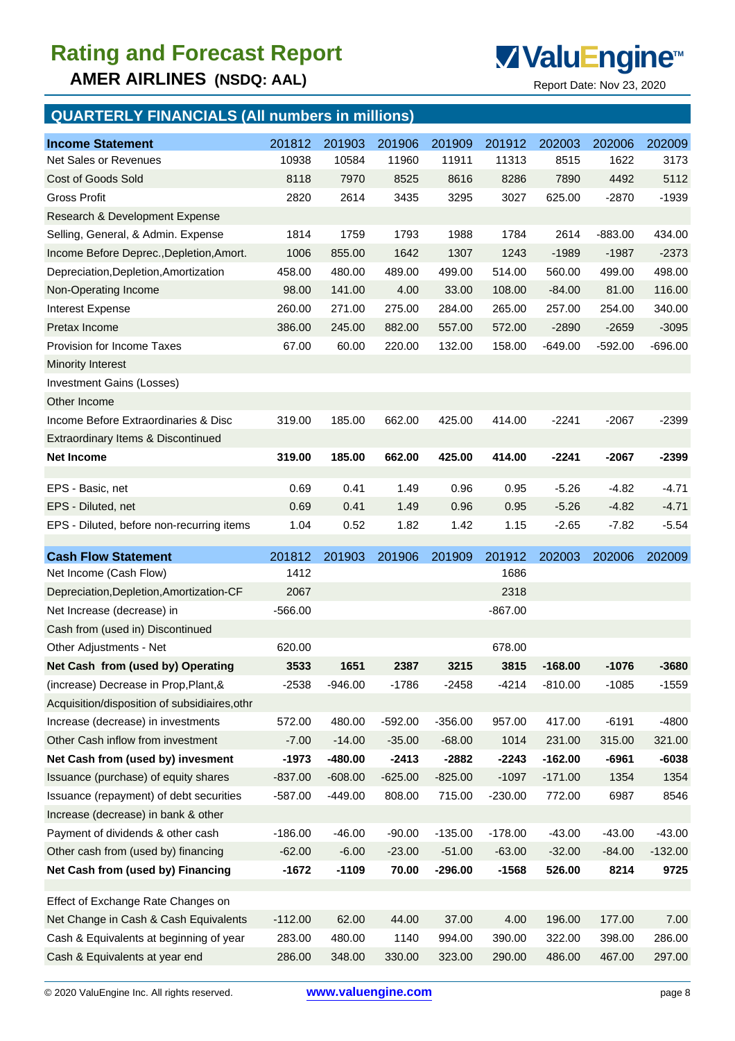**AMER AIRLINES (NSDQ: AAL)** Report Date: Nov 23, 2020



## **QUARTERLY FINANCIALS (All numbers in millions)**

| <b>Income Statement</b>                       | 201812    | 201903    | 201906    | 201909    | 201912    | 202003    | 202006    | 202009    |
|-----------------------------------------------|-----------|-----------|-----------|-----------|-----------|-----------|-----------|-----------|
| Net Sales or Revenues                         | 10938     | 10584     | 11960     | 11911     | 11313     | 8515      | 1622      | 3173      |
| Cost of Goods Sold                            | 8118      | 7970      | 8525      | 8616      | 8286      | 7890      | 4492      | 5112      |
| <b>Gross Profit</b>                           | 2820      | 2614      | 3435      | 3295      | 3027      | 625.00    | $-2870$   | $-1939$   |
| Research & Development Expense                |           |           |           |           |           |           |           |           |
| Selling, General, & Admin. Expense            | 1814      | 1759      | 1793      | 1988      | 1784      | 2614      | $-883.00$ | 434.00    |
| Income Before Deprec., Depletion, Amort.      | 1006      | 855.00    | 1642      | 1307      | 1243      | $-1989$   | $-1987$   | $-2373$   |
| Depreciation, Depletion, Amortization         | 458.00    | 480.00    | 489.00    | 499.00    | 514.00    | 560.00    | 499.00    | 498.00    |
| Non-Operating Income                          | 98.00     | 141.00    | 4.00      | 33.00     | 108.00    | $-84.00$  | 81.00     | 116.00    |
| Interest Expense                              | 260.00    | 271.00    | 275.00    | 284.00    | 265.00    | 257.00    | 254.00    | 340.00    |
| Pretax Income                                 | 386.00    | 245.00    | 882.00    | 557.00    | 572.00    | $-2890$   | $-2659$   | $-3095$   |
| <b>Provision for Income Taxes</b>             | 67.00     | 60.00     | 220.00    | 132.00    | 158.00    | $-649.00$ | $-592.00$ | $-696.00$ |
| <b>Minority Interest</b>                      |           |           |           |           |           |           |           |           |
| Investment Gains (Losses)                     |           |           |           |           |           |           |           |           |
| Other Income                                  |           |           |           |           |           |           |           |           |
| Income Before Extraordinaries & Disc          | 319.00    | 185.00    | 662.00    | 425.00    | 414.00    | $-2241$   | $-2067$   | $-2399$   |
| Extraordinary Items & Discontinued            |           |           |           |           |           |           |           |           |
| <b>Net Income</b>                             | 319.00    | 185.00    | 662.00    | 425.00    | 414.00    | $-2241$   | $-2067$   | $-2399$   |
|                                               |           |           |           |           |           |           |           |           |
| EPS - Basic, net                              | 0.69      | 0.41      | 1.49      | 0.96      | 0.95      | $-5.26$   | $-4.82$   | $-4.71$   |
| EPS - Diluted, net                            | 0.69      | 0.41      | 1.49      | 0.96      | 0.95      | $-5.26$   | $-4.82$   | $-4.71$   |
| EPS - Diluted, before non-recurring items     | 1.04      | 0.52      | 1.82      | 1.42      | 1.15      | $-2.65$   | $-7.82$   | $-5.54$   |
| <b>Cash Flow Statement</b>                    | 201812    | 201903    | 201906    | 201909    | 201912    | 202003    | 202006    | 202009    |
|                                               |           |           |           |           |           |           |           |           |
|                                               |           |           |           |           |           |           |           |           |
| Net Income (Cash Flow)                        | 1412      |           |           |           | 1686      |           |           |           |
| Depreciation, Depletion, Amortization-CF      | 2067      |           |           |           | 2318      |           |           |           |
| Net Increase (decrease) in                    | $-566.00$ |           |           |           | $-867.00$ |           |           |           |
| Cash from (used in) Discontinued              |           |           |           |           |           |           |           |           |
| Other Adjustments - Net                       | 620.00    |           |           |           | 678.00    |           |           |           |
| Net Cash from (used by) Operating             | 3533      | 1651      | 2387      | 3215      | 3815      | $-168.00$ | $-1076$   | $-3680$   |
| (increase) Decrease in Prop, Plant, &         | $-2538$   | $-946.00$ | $-1786$   | $-2458$   | $-4214$   | $-810.00$ | $-1085$   | -1559     |
| Acquisition/disposition of subsidiaires, othr |           |           |           |           |           |           |           |           |
| Increase (decrease) in investments            | 572.00    | 480.00    | $-592.00$ | $-356.00$ | 957.00    | 417.00    | $-6191$   | $-4800$   |
| Other Cash inflow from investment             | $-7.00$   | $-14.00$  | $-35.00$  | $-68.00$  | 1014      | 231.00    | 315.00    | 321.00    |
| Net Cash from (used by) invesment             | $-1973$   | $-480.00$ | $-2413$   | $-2882$   | $-2243$   | $-162.00$ | $-6961$   | $-6038$   |
| Issuance (purchase) of equity shares          | $-837.00$ | $-608.00$ | $-625.00$ | $-825.00$ | $-1097$   | $-171.00$ | 1354      | 1354      |
| Issuance (repayment) of debt securities       | $-587.00$ | $-449.00$ | 808.00    | 715.00    | $-230.00$ | 772.00    | 6987      | 8546      |
| Increase (decrease) in bank & other           |           |           |           |           |           |           |           |           |
| Payment of dividends & other cash             | $-186.00$ | $-46.00$  | $-90.00$  | $-135.00$ | $-178.00$ | $-43.00$  | $-43.00$  | $-43.00$  |
| Other cash from (used by) financing           | $-62.00$  | $-6.00$   | $-23.00$  | $-51.00$  | $-63.00$  | $-32.00$  | $-84.00$  | $-132.00$ |
| Net Cash from (used by) Financing             | $-1672$   | $-1109$   | 70.00     | $-296.00$ | $-1568$   | 526.00    | 8214      | 9725      |
| Effect of Exchange Rate Changes on            |           |           |           |           |           |           |           |           |
| Net Change in Cash & Cash Equivalents         | $-112.00$ | 62.00     | 44.00     | 37.00     | 4.00      | 196.00    | 177.00    | 7.00      |
| Cash & Equivalents at beginning of year       | 283.00    | 480.00    | 1140      | 994.00    | 390.00    | 322.00    | 398.00    | 286.00    |
| Cash & Equivalents at year end                | 286.00    | 348.00    | 330.00    | 323.00    | 290.00    | 486.00    | 467.00    | 297.00    |

© 2020 ValuEngine Inc. All rights reserved. **www.valuengine.com** page 8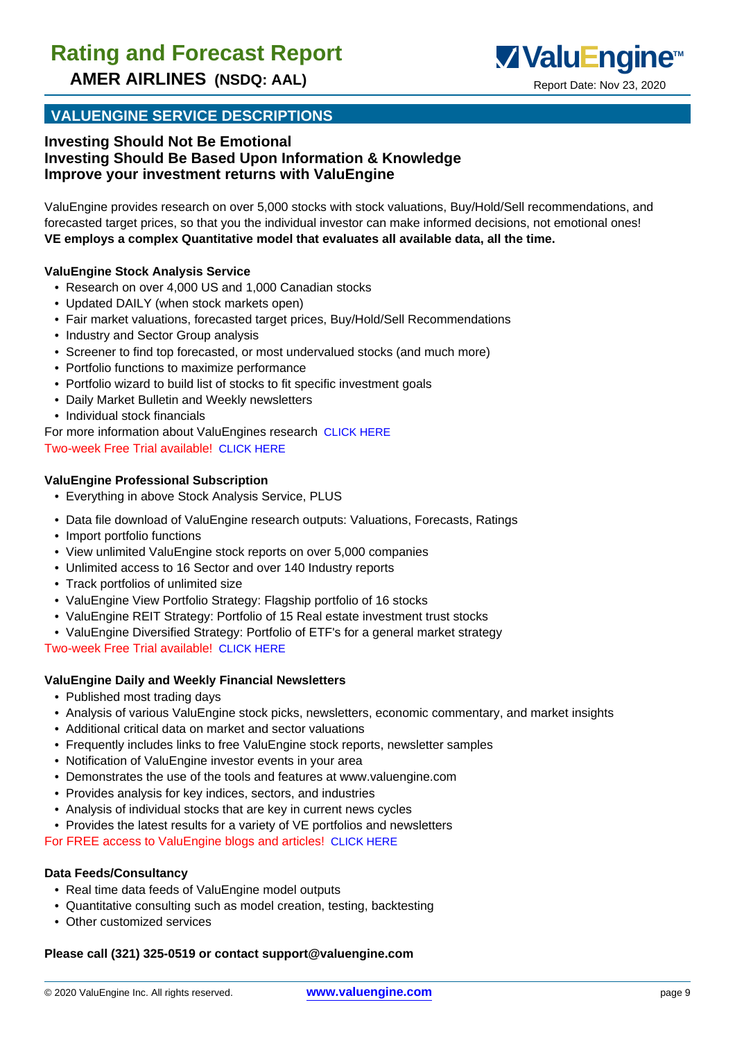

**AMER AIRLINES (NSDQ: AAL)** Report Date: Nov 23, 2020

### **VALUENGINE SERVICE DESCRIPTIONS**

#### **Investing Should Not Be Emotional Investing Should Be Based Upon Information & Knowledge Improve your investment returns with ValuEngine**

ValuEngine provides research on over 5,000 stocks with stock valuations, Buy/Hold/Sell recommendations, and forecasted target prices, so that you the individual investor can make informed decisions, not emotional ones! **VE employs a complex Quantitative model that evaluates all available data, all the time.**

#### **ValuEngine Stock Analysis Service**

- Research on over 4,000 US and 1,000 Canadian stocks
- Updated DAILY (when stock markets open)
- Fair market valuations, forecasted target prices, Buy/Hold/Sell Recommendations
- Industry and Sector Group analysis
- Screener to find top forecasted, or most undervalued stocks (and much more)
- Portfolio functions to maximize performance
- Portfolio wizard to build list of stocks to fit specific investment goals
- Daily Market Bulletin and Weekly newsletters
- Individual stock financials
- For more information about ValuEngines research CLICK HERE Two-week Free Trial available! CLICK HERE

#### **ValuEngine Professional Subscription**

- Everything in above Stock Analysis Service, PLUS
- Data file download of ValuEngine research outputs: Valuations, Forecasts, Ratings
- Import portfolio functions
- View unlimited ValuEngine stock reports on over 5,000 companies
- Unlimited access to 16 Sector and over 140 Industry reports
- Track portfolios of unlimited size
- ValuEngine View Portfolio Strategy: Flagship portfolio of 16 stocks
- ValuEngine REIT Strategy: Portfolio of 15 Real estate investment trust stocks
- ValuEngine Diversified Strategy: Portfolio of ETF's for a general market strategy

Two-week Free Trial available! CLICK HERE

#### **ValuEngine Daily and Weekly Financial Newsletters**

- Published most trading days
- Analysis of various ValuEngine stock picks, newsletters, economic commentary, and market insights
- Additional critical data on market and sector valuations
- Frequently includes links to free ValuEngine stock reports, newsletter samples
- Notification of ValuEngine investor events in your area
- Demonstrates the use of the tools and features at www.valuengine.com
- Provides analysis for key indices, sectors, and industries
- Analysis of individual stocks that are key in current news cycles
- Provides the latest results for a variety of VE portfolios and newsletters

For FREE access to ValuEngine blogs and articles! CLICK HERE

#### **Data Feeds/Consultancy**

- Real time data feeds of ValuEngine model outputs
- Quantitative consulting such as model creation, testing, backtesting
- Other customized services

#### **Please call (321) 325-0519 or contact support@valuengine.com**